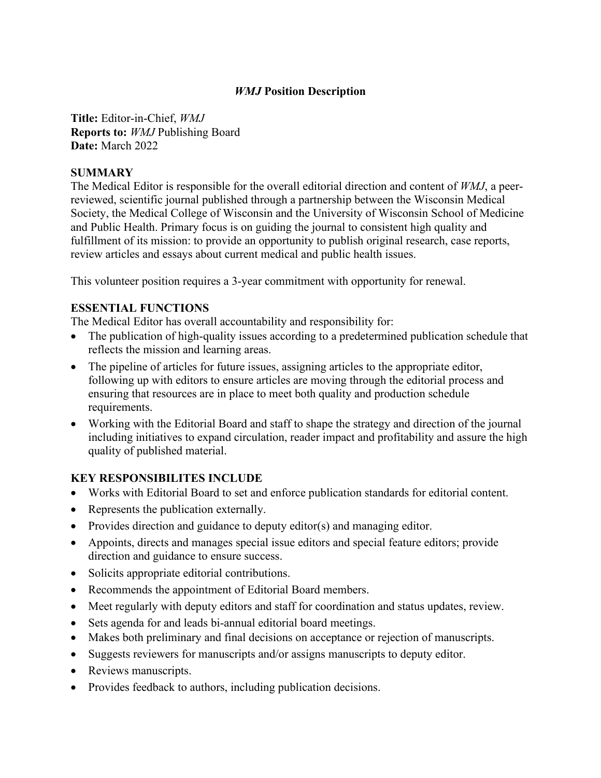### *WMJ* **Position Description**

**Title:** Editor-in-Chief, *WMJ*  **Reports to:** *WMJ* Publishing Board **Date:** March 2022

#### **SUMMARY**

The Medical Editor is responsible for the overall editorial direction and content of *WMJ*, a peerreviewed, scientific journal published through a partnership between the Wisconsin Medical Society, the Medical College of Wisconsin and the University of Wisconsin School of Medicine and Public Health. Primary focus is on guiding the journal to consistent high quality and fulfillment of its mission: to provide an opportunity to publish original research, case reports, review articles and essays about current medical and public health issues.

This volunteer position requires a 3-year commitment with opportunity for renewal.

### **ESSENTIAL FUNCTIONS**

The Medical Editor has overall accountability and responsibility for:

- The publication of high-quality issues according to a predetermined publication schedule that reflects the mission and learning areas.
- The pipeline of articles for future issues, assigning articles to the appropriate editor, following up with editors to ensure articles are moving through the editorial process and ensuring that resources are in place to meet both quality and production schedule requirements.
- Working with the Editorial Board and staff to shape the strategy and direction of the journal including initiatives to expand circulation, reader impact and profitability and assure the high quality of published material.

### **KEY RESPONSIBILITES INCLUDE**

- Works with Editorial Board to set and enforce publication standards for editorial content.
- Represents the publication externally.
- Provides direction and guidance to deputy editor(s) and managing editor.
- Appoints, directs and manages special issue editors and special feature editors; provide direction and guidance to ensure success.
- Solicits appropriate editorial contributions.
- Recommends the appointment of Editorial Board members.
- Meet regularly with deputy editors and staff for coordination and status updates, review.
- Sets agenda for and leads bi-annual editorial board meetings.
- Makes both preliminary and final decisions on acceptance or rejection of manuscripts.
- Suggests reviewers for manuscripts and/or assigns manuscripts to deputy editor.
- Reviews manuscripts.
- Provides feedback to authors, including publication decisions.